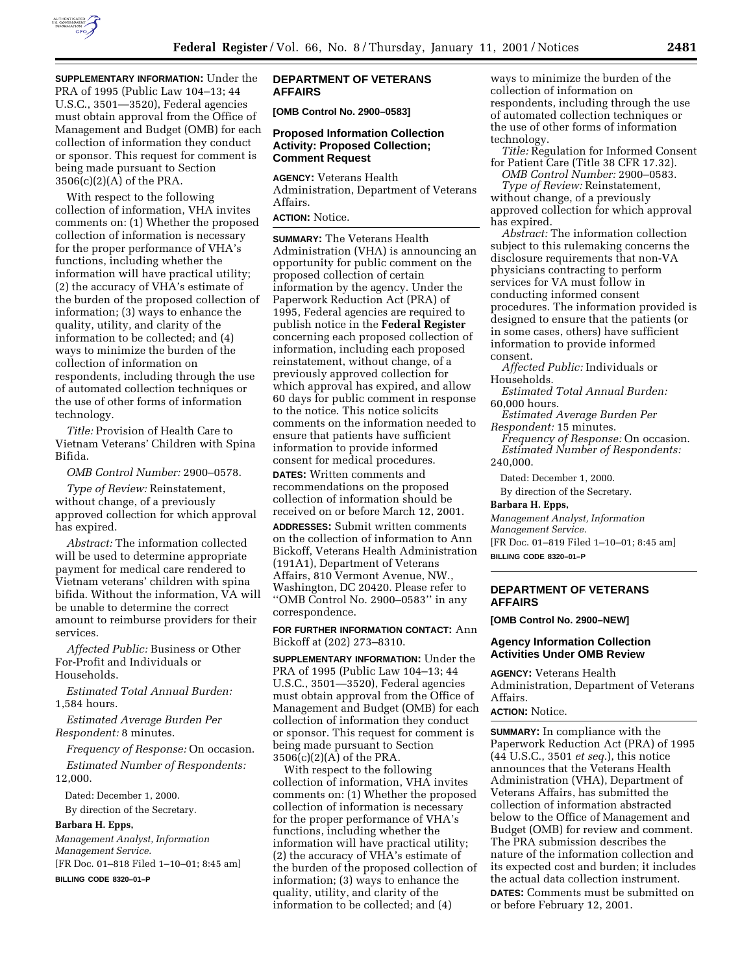

**SUPPLEMENTARY INFORMATION:** Under the PRA of 1995 (Public Law 104–13; 44 U.S.C., 3501—3520), Federal agencies must obtain approval from the Office of Management and Budget (OMB) for each collection of information they conduct or sponsor. This request for comment is being made pursuant to Section 3506(c)(2)(A) of the PRA.

With respect to the following collection of information, VHA invites comments on: (1) Whether the proposed collection of information is necessary for the proper performance of VHA's functions, including whether the information will have practical utility; (2) the accuracy of VHA's estimate of the burden of the proposed collection of information; (3) ways to enhance the quality, utility, and clarity of the information to be collected; and (4) ways to minimize the burden of the collection of information on respondents, including through the use of automated collection techniques or the use of other forms of information technology.

*Title:* Provision of Health Care to Vietnam Veterans' Children with Spina Bifida.

*OMB Control Number:* 2900–0578.

*Type of Review:* Reinstatement, without change, of a previously approved collection for which approval has expired.

*Abstract:* The information collected will be used to determine appropriate payment for medical care rendered to Vietnam veterans' children with spina bifida. Without the information, VA will be unable to determine the correct amount to reimburse providers for their services.

*Affected Public:* Business or Other For-Profit and Individuals or Households.

*Estimated Total Annual Burden:* 1,584 hours.

*Estimated Average Burden Per Respondent:* 8 minutes.

*Frequency of Response:* On occasion. *Estimated Number of Respondents:* 12,000.

Dated: December 1, 2000.

By direction of the Secretary.

**Barbara H. Epps,**

*Management Analyst, Information Management Service.* [FR Doc. 01–818 Filed 1–10–01; 8:45 am]

**BILLING CODE 8320–01–P**

## **DEPARTMENT OF VETERANS AFFAIRS**

**[OMB Control No. 2900–0583]**

## **Proposed Information Collection Activity: Proposed Collection; Comment Request**

**AGENCY:** Veterans Health Administration, Department of Veterans Affairs.

# **ACTION:** Notice.

**SUMMARY:** The Veterans Health Administration (VHA) is announcing an opportunity for public comment on the proposed collection of certain information by the agency. Under the Paperwork Reduction Act (PRA) of 1995, Federal agencies are required to publish notice in the **Federal Register** concerning each proposed collection of information, including each proposed reinstatement, without change, of a previously approved collection for which approval has expired, and allow 60 days for public comment in response to the notice. This notice solicits comments on the information needed to ensure that patients have sufficient information to provide informed consent for medical procedures.

**DATES:** Written comments and recommendations on the proposed collection of information should be received on or before March 12, 2001.

**ADDRESSES:** Submit written comments on the collection of information to Ann Bickoff, Veterans Health Administration (191A1), Department of Veterans Affairs, 810 Vermont Avenue, NW., Washington, DC 20420. Please refer to ''OMB Control No. 2900–0583'' in any correspondence.

**FOR FURTHER INFORMATION CONTACT:** Ann Bickoff at (202) 273–8310.

**SUPPLEMENTARY INFORMATION:** Under the PRA of 1995 (Public Law 104–13; 44 U.S.C., 3501—3520), Federal agencies must obtain approval from the Office of Management and Budget (OMB) for each collection of information they conduct or sponsor. This request for comment is being made pursuant to Section  $3506(c)(2)(A)$  of the PRA.

With respect to the following collection of information, VHA invites comments on: (1) Whether the proposed collection of information is necessary for the proper performance of VHA's functions, including whether the information will have practical utility; (2) the accuracy of VHA's estimate of the burden of the proposed collection of information; (3) ways to enhance the quality, utility, and clarity of the information to be collected; and (4)

ways to minimize the burden of the collection of information on respondents, including through the use of automated collection techniques or the use of other forms of information technology.

*Title:* Regulation for Informed Consent for Patient Care (Title 38 CFR 17.32). *OMB Control Number:* 2900–0583.

*Type of Review:* Reinstatement, without change, of a previously approved collection for which approval has expired.

*Abstract:* The information collection subject to this rulemaking concerns the disclosure requirements that non-VA physicians contracting to perform services for VA must follow in conducting informed consent procedures. The information provided is designed to ensure that the patients (or in some cases, others) have sufficient information to provide informed consent.

*Affected Public:* Individuals or Households.

*Estimated Total Annual Burden:* 60,000 hours.

*Estimated Average Burden Per Respondent:* 15 minutes.

*Frequency of Response:* On occasion. *Estimated Number of Respondents:* 240,000.

Dated: December 1, 2000.

By direction of the Secretary.

**Barbara H. Epps,**

*Management Analyst, Information Management Service.*

[FR Doc. 01–819 Filed 1–10–01; 8:45 am] **BILLING CODE 8320–01–P**

## **DEPARTMENT OF VETERANS AFFAIRS**

**[OMB Control No. 2900–NEW]**

#### **Agency Information Collection Activities Under OMB Review**

**AGENCY:** Veterans Health Administration, Department of Veterans Affairs.

**ACTION:** Notice.

**SUMMARY:** In compliance with the Paperwork Reduction Act (PRA) of 1995 (44 U.S.C., 3501 *et seq.*), this notice announces that the Veterans Health Administration (VHA), Department of Veterans Affairs, has submitted the collection of information abstracted below to the Office of Management and Budget (OMB) for review and comment. The PRA submission describes the nature of the information collection and its expected cost and burden; it includes the actual data collection instrument. **DATES:** Comments must be submitted on or before February 12, 2001.